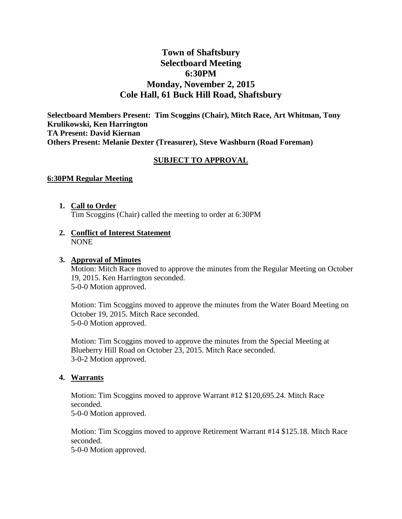# **Town of Shaftsbury Selectboard Meeting 6:30PM Monday, November 2, 2015 Cole Hall, 61 Buck Hill Road, Shaftsbury**

**Selectboard Members Present: Tim Scoggins (Chair), Mitch Race, Art Whitman, Tony Krulikowski, Ken Harrington TA Present: David Kiernan Others Present: Melanie Dexter (Treasurer), Steve Washburn (Road Foreman)**

### **SUBJECT TO APPROVAL**

#### **6:30PM Regular Meeting**

- **1. Call to Order** Tim Scoggins (Chair) called the meeting to order at 6:30PM
- **2. Conflict of Interest Statement** NONE

#### **3. Approval of Minutes**

Motion: Mitch Race moved to approve the minutes from the Regular Meeting on October 19, 2015. Ken Harrington seconded. 5-0-0 Motion approved.

Motion: Tim Scoggins moved to approve the minutes from the Water Board Meeting on October 19, 2015. Mitch Race seconded. 5-0-0 Motion approved.

Motion: Tim Scoggins moved to approve the minutes from the Special Meeting at Blueberry Hill Road on October 23, 2015. Mitch Race seconded. 3-0-2 Motion approved.

#### **4. Warrants**

Motion: Tim Scoggins moved to approve Warrant #12 \$120,695.24. Mitch Race seconded.

5-0-0 Motion approved.

Motion: Tim Scoggins moved to approve Retirement Warrant #14 \$125.18. Mitch Race seconded.

5-0-0 Motion approved.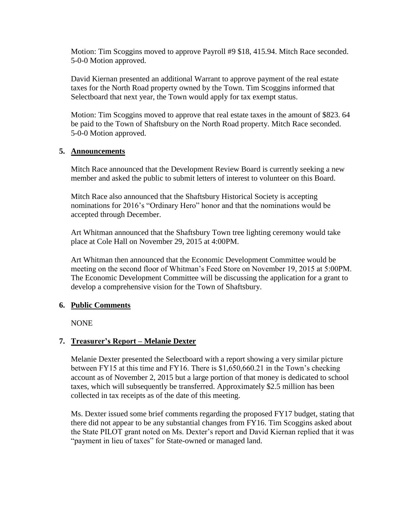Motion: Tim Scoggins moved to approve Payroll #9 \$18, 415.94. Mitch Race seconded. 5-0-0 Motion approved.

David Kiernan presented an additional Warrant to approve payment of the real estate taxes for the North Road property owned by the Town. Tim Scoggins informed that Selectboard that next year, the Town would apply for tax exempt status.

Motion: Tim Scoggins moved to approve that real estate taxes in the amount of \$823. 64 be paid to the Town of Shaftsbury on the North Road property. Mitch Race seconded. 5-0-0 Motion approved.

### **5. Announcements**

Mitch Race announced that the Development Review Board is currently seeking a new member and asked the public to submit letters of interest to volunteer on this Board.

Mitch Race also announced that the Shaftsbury Historical Society is accepting nominations for 2016's "Ordinary Hero" honor and that the nominations would be accepted through December.

Art Whitman announced that the Shaftsbury Town tree lighting ceremony would take place at Cole Hall on November 29, 2015 at 4:00PM.

Art Whitman then announced that the Economic Development Committee would be meeting on the second floor of Whitman's Feed Store on November 19, 2015 at 5:00PM. The Economic Development Committee will be discussing the application for a grant to develop a comprehensive vision for the Town of Shaftsbury.

### **6. Public Comments**

NONE

### **7. Treasurer's Report – Melanie Dexter**

Melanie Dexter presented the Selectboard with a report showing a very similar picture between FY15 at this time and FY16. There is \$1,650,660.21 in the Town's checking account as of November 2, 2015 but a large portion of that money is dedicated to school taxes, which will subsequently be transferred. Approximately \$2.5 million has been collected in tax receipts as of the date of this meeting.

Ms. Dexter issued some brief comments regarding the proposed FY17 budget, stating that there did not appear to be any substantial changes from FY16. Tim Scoggins asked about the State PILOT grant noted on Ms. Dexter's report and David Kiernan replied that it was "payment in lieu of taxes" for State-owned or managed land.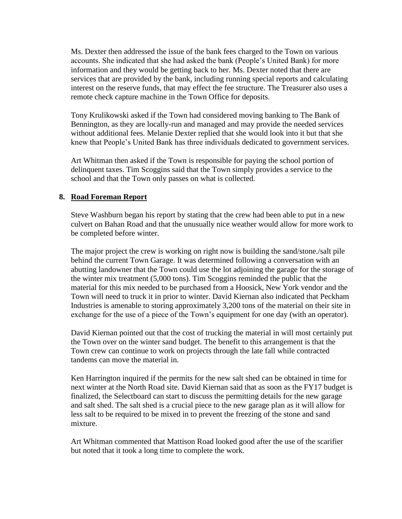Ms. Dexter then addressed the issue of the bank fees charged to the Town on various accounts. She indicated that she had asked the bank (People's United Bank) for more information and they would be getting back to her. Ms. Dexter noted that there are services that are provided by the bank, including running special reports and calculating interest on the reserve funds, that may effect the fee structure. The Treasurer also uses a remote check capture machine in the Town Office for deposits.

Tony Krulikowski asked if the Town had considered moving banking to The Bank of Bennington, as they are locally-run and managed and may provide the needed services without additional fees. Melanie Dexter replied that she would look into it but that she knew that People's United Bank has three individuals dedicated to government services.

Art Whitman then asked if the Town is responsible for paying the school portion of delinquent taxes. Tim Scoggins said that the Town simply provides a service to the school and that the Town only passes on what is collected.

### **8. Road Foreman Report**

Steve Washburn began his report by stating that the crew had been able to put in a new culvert on Bahan Road and that the unusually nice weather would allow for more work to be completed before winter.

The major project the crew is working on right now is building the sand/stone./salt pile behind the current Town Garage. It was determined following a conversation with an abutting landowner that the Town could use the lot adjoining the garage for the storage of the winter mix treatment (5,000 tons). Tim Scoggins reminded the public that the material for this mix needed to be purchased from a Hoosick, New York vendor and the Town will need to truck it in prior to winter. David Kiernan also indicated that Peckham Industries is amenable to storing approximately 3,200 tons of the material on their site in exchange for the use of a piece of the Town's equipment for one day (with an operator).

David Kiernan pointed out that the cost of trucking the material in will most certainly put the Town over on the winter sand budget. The benefit to this arrangement is that the Town crew can continue to work on projects through the late fall while contracted tandems can move the material in.

Ken Harrington inquired if the permits for the new salt shed can be obtained in time for next winter at the North Road site. David Kiernan said that as soon as the FY17 budget is finalized, the Selectboard can start to discuss the permitting details for the new garage and salt shed. The salt shed is a crucial piece to the new garage plan as it will allow for less salt to be required to be mixed in to prevent the freezing of the stone and sand mixture.

Art Whitman commented that Mattison Road looked good after the use of the scarifier but noted that it took a long time to complete the work.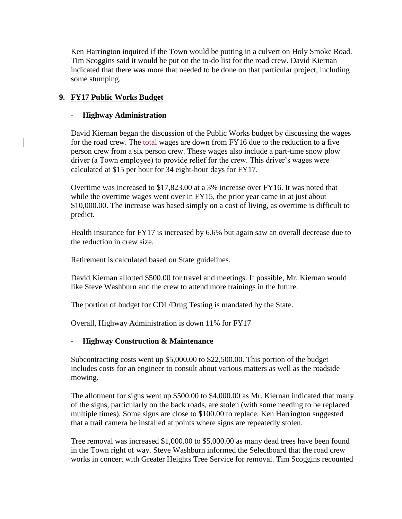Ken Harrington inquired if the Town would be putting in a culvert on Holy Smoke Road. Tim Scoggins said it would be put on the to-do list for the road crew. David Kiernan indicated that there was more that needed to be done on that particular project, including some stumping.

## **9. FY17 Public Works Budget**

### - **Highway Administration**

David Kiernan began the discussion of the Public Works budget by discussing the wages for the road crew. The total wages are down from FY16 due to the reduction to a five person crew from a six person crew. These wages also include a part-time snow plow driver (a Town employee) to provide relief for the crew. This driver's wages were calculated at \$15 per hour for 34 eight-hour days for FY17.

Overtime was increased to \$17,823.00 at a 3% increase over FY16. It was noted that while the overtime wages went over in FY15, the prior year came in at just about \$10,000.00. The increase was based simply on a cost of living, as overtime is difficult to predict.

Health insurance for FY17 is increased by 6.6% but again saw an overall decrease due to the reduction in crew size.

Retirement is calculated based on State guidelines.

David Kiernan allotted \$500.00 for travel and meetings. If possible, Mr. Kiernan would like Steve Washburn and the crew to attend more trainings in the future.

The portion of budget for CDL/Drug Testing is mandated by the State.

Overall, Highway Administration is down 11% for FY17

### - **Highway Construction & Maintenance**

Subcontracting costs went up \$5,000.00 to \$22,500.00. This portion of the budget includes costs for an engineer to consult about various matters as well as the roadside mowing.

The allotment for signs went up \$500.00 to \$4,000.00 as Mr. Kiernan indicated that many of the signs, particularly on the back roads, are stolen (with some needing to be replaced multiple times). Some signs are close to \$100.00 to replace. Ken Harrington suggested that a trail camera be installed at points where signs are repeatedly stolen.

Tree removal was increased \$1,000.00 to \$5,000.00 as many dead trees have been found in the Town right of way. Steve Washburn informed the Selectboard that the road crew works in concert with Greater Heights Tree Service for removal. Tim Scoggins recounted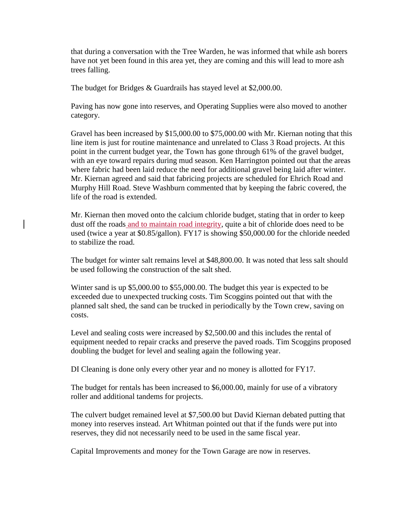that during a conversation with the Tree Warden, he was informed that while ash borers have not yet been found in this area yet, they are coming and this will lead to more ash trees falling.

The budget for Bridges & Guardrails has stayed level at \$2,000.00.

Paving has now gone into reserves, and Operating Supplies were also moved to another category.

Gravel has been increased by \$15,000.00 to \$75,000.00 with Mr. Kiernan noting that this line item is just for routine maintenance and unrelated to Class 3 Road projects. At this point in the current budget year, the Town has gone through 61% of the gravel budget, with an eye toward repairs during mud season. Ken Harrington pointed out that the areas where fabric had been laid reduce the need for additional gravel being laid after winter. Mr. Kiernan agreed and said that fabricing projects are scheduled for Ehrich Road and Murphy Hill Road. Steve Washburn commented that by keeping the fabric covered, the life of the road is extended.

Mr. Kiernan then moved onto the calcium chloride budget, stating that in order to keep dust off the roads and to maintain road integrity, quite a bit of chloride does need to be used (twice a year at \$0.85/gallon). FY17 is showing \$50,000.00 for the chloride needed to stabilize the road.

The budget for winter salt remains level at \$48,800.00. It was noted that less salt should be used following the construction of the salt shed.

Winter sand is up \$5,000.00 to \$55,000.00. The budget this year is expected to be exceeded due to unexpected trucking costs. Tim Scoggins pointed out that with the planned salt shed, the sand can be trucked in periodically by the Town crew, saving on costs.

Level and sealing costs were increased by \$2,500.00 and this includes the rental of equipment needed to repair cracks and preserve the paved roads. Tim Scoggins proposed doubling the budget for level and sealing again the following year.

DI Cleaning is done only every other year and no money is allotted for FY17.

The budget for rentals has been increased to \$6,000.00, mainly for use of a vibratory roller and additional tandems for projects.

The culvert budget remained level at \$7,500.00 but David Kiernan debated putting that money into reserves instead. Art Whitman pointed out that if the funds were put into reserves, they did not necessarily need to be used in the same fiscal year.

Capital Improvements and money for the Town Garage are now in reserves.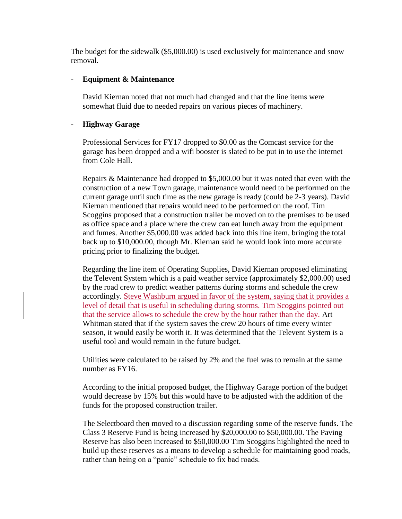The budget for the sidewalk (\$5,000.00) is used exclusively for maintenance and snow removal.

#### - **Equipment & Maintenance**

David Kiernan noted that not much had changed and that the line items were somewhat fluid due to needed repairs on various pieces of machinery.

#### - **Highway Garage**

Professional Services for FY17 dropped to \$0.00 as the Comcast service for the garage has been dropped and a wifi booster is slated to be put in to use the internet from Cole Hall.

Repairs & Maintenance had dropped to \$5,000.00 but it was noted that even with the construction of a new Town garage, maintenance would need to be performed on the current garage until such time as the new garage is ready (could be 2-3 years). David Kiernan mentioned that repairs would need to be performed on the roof. Tim Scoggins proposed that a construction trailer be moved on to the premises to be used as office space and a place where the crew can eat lunch away from the equipment and fumes. Another \$5,000.00 was added back into this line item, bringing the total back up to \$10,000.00, though Mr. Kiernan said he would look into more accurate pricing prior to finalizing the budget.

Regarding the line item of Operating Supplies, David Kiernan proposed eliminating the Televent System which is a paid weather service (approximately \$2,000.00) used by the road crew to predict weather patterns during storms and schedule the crew accordingly. Steve Washburn argued in favor of the system, saying that it provides a level of detail that is useful in scheduling during storms. Tim Scoggins pointed out that the service allows to schedule the crew by the hour rather than the day. Art Whitman stated that if the system saves the crew 20 hours of time every winter season, it would easily be worth it. It was determined that the Televent System is a useful tool and would remain in the future budget.

Utilities were calculated to be raised by 2% and the fuel was to remain at the same number as FY16.

According to the initial proposed budget, the Highway Garage portion of the budget would decrease by 15% but this would have to be adjusted with the addition of the funds for the proposed construction trailer.

The Selectboard then moved to a discussion regarding some of the reserve funds. The Class 3 Reserve Fund is being increased by \$20,000.00 to \$50,000.00. The Paving Reserve has also been increased to \$50,000.00 Tim Scoggins highlighted the need to build up these reserves as a means to develop a schedule for maintaining good roads, rather than being on a "panic" schedule to fix bad roads.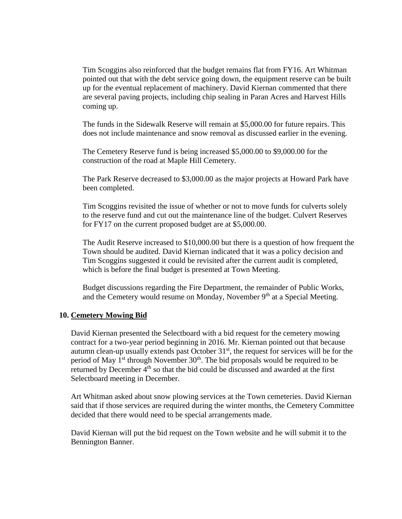Tim Scoggins also reinforced that the budget remains flat from FY16. Art Whitman pointed out that with the debt service going down, the equipment reserve can be built up for the eventual replacement of machinery. David Kiernan commented that there are several paving projects, including chip sealing in Paran Acres and Harvest Hills coming up.

The funds in the Sidewalk Reserve will remain at \$5,000.00 for future repairs. This does not include maintenance and snow removal as discussed earlier in the evening.

The Cemetery Reserve fund is being increased \$5,000.00 to \$9,000.00 for the construction of the road at Maple Hill Cemetery.

The Park Reserve decreased to \$3,000.00 as the major projects at Howard Park have been completed.

Tim Scoggins revisited the issue of whether or not to move funds for culverts solely to the reserve fund and cut out the maintenance line of the budget. Culvert Reserves for FY17 on the current proposed budget are at \$5,000.00.

The Audit Reserve increased to \$10,000.00 but there is a question of how frequent the Town should be audited. David Kiernan indicated that it was a policy decision and Tim Scoggins suggested it could be revisited after the current audit is completed, which is before the final budget is presented at Town Meeting.

Budget discussions regarding the Fire Department, the remainder of Public Works, and the Cemetery would resume on Monday, November 9<sup>th</sup> at a Special Meeting.

#### **10. Cemetery Mowing Bid**

David Kiernan presented the Selectboard with a bid request for the cemetery mowing contract for a two-year period beginning in 2016. Mr. Kiernan pointed out that because autumn clean-up usually extends past October  $31<sup>st</sup>$ , the request for services will be for the period of May  $1<sup>st</sup>$  through November  $30<sup>th</sup>$ . The bid proposals would be required to be returned by December 4<sup>th</sup> so that the bid could be discussed and awarded at the first Selectboard meeting in December.

Art Whitman asked about snow plowing services at the Town cemeteries. David Kiernan said that if those services are required during the winter months, the Cemetery Committee decided that there would need to be special arrangements made.

David Kiernan will put the bid request on the Town website and he will submit it to the Bennington Banner.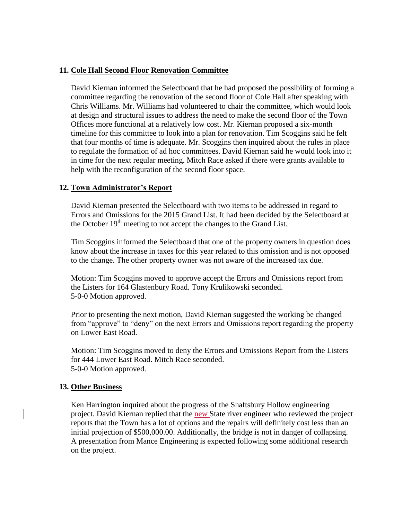### **11. Cole Hall Second Floor Renovation Committee**

David Kiernan informed the Selectboard that he had proposed the possibility of forming a committee regarding the renovation of the second floor of Cole Hall after speaking with Chris Williams. Mr. Williams had volunteered to chair the committee, which would look at design and structural issues to address the need to make the second floor of the Town Offices more functional at a relatively low cost. Mr. Kiernan proposed a six-month timeline for this committee to look into a plan for renovation. Tim Scoggins said he felt that four months of time is adequate. Mr. Scoggins then inquired about the rules in place to regulate the formation of ad hoc committees. David Kiernan said he would look into it in time for the next regular meeting. Mitch Race asked if there were grants available to help with the reconfiguration of the second floor space.

#### **12. Town Administrator's Report**

David Kiernan presented the Selectboard with two items to be addressed in regard to Errors and Omissions for the 2015 Grand List. It had been decided by the Selectboard at the October 19<sup>th</sup> meeting to not accept the changes to the Grand List.

Tim Scoggins informed the Selectboard that one of the property owners in question does know about the increase in taxes for this year related to this omission and is not opposed to the change. The other property owner was not aware of the increased tax due.

Motion: Tim Scoggins moved to approve accept the Errors and Omissions report from the Listers for 164 Glastenbury Road. Tony Krulikowski seconded. 5-0-0 Motion approved.

Prior to presenting the next motion, David Kiernan suggested the working be changed from "approve" to "deny" on the next Errors and Omissions report regarding the property on Lower East Road.

Motion: Tim Scoggins moved to deny the Errors and Omissions Report from the Listers for 444 Lower East Road. Mitch Race seconded. 5-0-0 Motion approved.

#### **13. Other Business**

Ken Harrington inquired about the progress of the Shaftsbury Hollow engineering project. David Kiernan replied that the new State river engineer who reviewed the project reports that the Town has a lot of options and the repairs will definitely cost less than an initial projection of \$500,000.00. Additionally, the bridge is not in danger of collapsing. A presentation from Mance Engineering is expected following some additional research on the project.